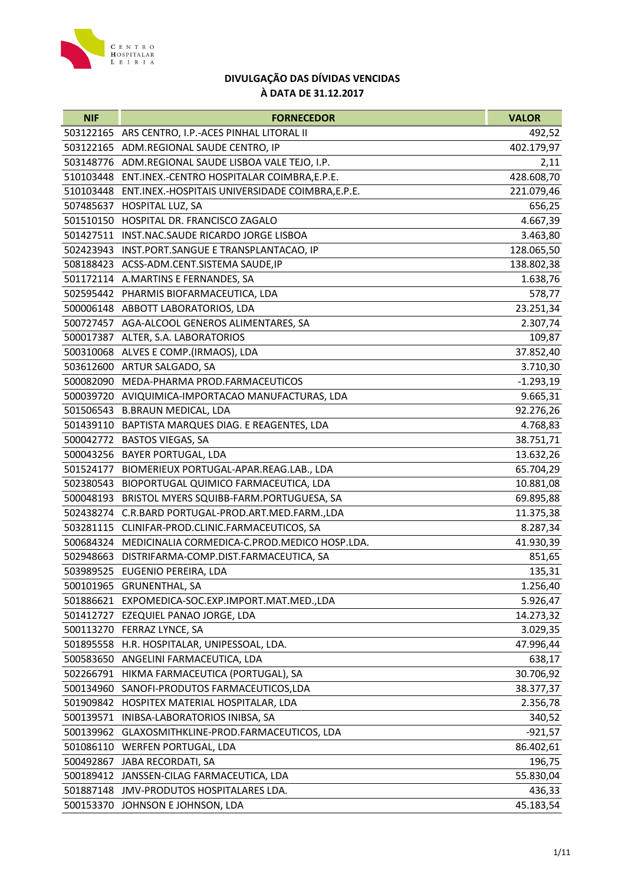

| <b>NIF</b> | <b>FORNECEDOR</b>                                          | <b>VALOR</b> |
|------------|------------------------------------------------------------|--------------|
|            | 503122165 ARS CENTRO, I.P.-ACES PINHAL LITORAL II          | 492,52       |
|            | 503122165 ADM.REGIONAL SAUDE CENTRO, IP                    | 402.179,97   |
|            | 503148776 ADM.REGIONAL SAUDE LISBOA VALE TEJO, I.P.        | 2,11         |
|            | 510103448 ENT.INEX.-CENTRO HOSPITALAR COIMBRA, E.P.E.      | 428.608,70   |
|            | 510103448 ENT.INEX.-HOSPITAIS UNIVERSIDADE COIMBRA, E.P.E. | 221.079,46   |
|            | 507485637 HOSPITAL LUZ, SA                                 | 656,25       |
|            | 501510150 HOSPITAL DR. FRANCISCO ZAGALO                    | 4.667,39     |
|            | 501427511 INST.NAC.SAUDE RICARDO JORGE LISBOA              | 3.463,80     |
|            | 502423943 INST.PORT.SANGUE E TRANSPLANTACAO, IP            | 128.065,50   |
|            | 508188423 ACSS-ADM.CENT.SISTEMA SAUDE, IP                  | 138.802,38   |
|            | 501172114 A.MARTINS E FERNANDES, SA                        | 1.638,76     |
|            | 502595442 PHARMIS BIOFARMACEUTICA, LDA                     | 578,77       |
|            | 500006148 ABBOTT LABORATORIOS, LDA                         | 23.251,34    |
|            | 500727457 AGA-ALCOOL GENEROS ALIMENTARES, SA               | 2.307,74     |
|            | 500017387 ALTER, S.A. LABORATORIOS                         | 109,87       |
|            | 500310068 ALVES E COMP.(IRMAOS), LDA                       | 37.852,40    |
|            | 503612600 ARTUR SALGADO, SA                                | 3.710,30     |
|            | 500082090 MEDA-PHARMA PROD.FARMACEUTICOS                   | $-1.293,19$  |
|            | 500039720 AVIQUIMICA-IMPORTACAO MANUFACTURAS, LDA          | 9.665,31     |
|            | 501506543 B.BRAUN MEDICAL, LDA                             | 92.276,26    |
|            | 501439110 BAPTISTA MARQUES DIAG. E REAGENTES, LDA          | 4.768,83     |
|            | 500042772 BASTOS VIEGAS, SA                                | 38.751,71    |
|            | 500043256 BAYER PORTUGAL, LDA                              | 13.632,26    |
|            | 501524177 BIOMERIEUX PORTUGAL-APAR.REAG.LAB., LDA          | 65.704,29    |
|            | 502380543 BIOPORTUGAL QUIMICO FARMACEUTICA, LDA            | 10.881,08    |
|            | 500048193 BRISTOL MYERS SQUIBB-FARM.PORTUGUESA, SA         | 69.895,88    |
|            | 502438274 C.R.BARD PORTUGAL-PROD.ART.MED.FARM.,LDA         | 11.375,38    |
| 503281115  | CLINIFAR-PROD.CLINIC.FARMACEUTICOS, SA                     | 8.287,34     |
|            | 500684324 MEDICINALIA CORMEDICA-C.PROD.MEDICO HOSP.LDA.    | 41.930,39    |
|            | 502948663 DISTRIFARMA-COMP.DIST.FARMACEUTICA, SA           | 851,65       |
|            | 503989525 EUGENIO PEREIRA, LDA                             | 135,31       |
|            | 500101965 GRUNENTHAL, SA                                   | 1.256,40     |
|            | 501886621 EXPOMEDICA-SOC.EXP.IMPORT.MAT.MED.,LDA           | 5.926,47     |
|            | 501412727 EZEQUIEL PANAO JORGE, LDA                        | 14.273,32    |
|            | 500113270 FERRAZ LYNCE, SA                                 | 3.029,35     |
|            | 501895558 H.R. HOSPITALAR, UNIPESSOAL, LDA.                | 47.996,44    |
| 500583650  | ANGELINI FARMACEUTICA, LDA                                 | 638,17       |
| 502266791  | HIKMA FARMACEUTICA (PORTUGAL), SA                          | 30.706,92    |
|            | 500134960 SANOFI-PRODUTOS FARMACEUTICOS,LDA                | 38.377,37    |
|            | 501909842 HOSPITEX MATERIAL HOSPITALAR, LDA                | 2.356,78     |
|            | 500139571 INIBSA-LABORATORIOS INIBSA, SA                   | 340,52       |
|            | 500139962 GLAXOSMITHKLINE-PROD.FARMACEUTICOS, LDA          | $-921,57$    |
| 501086110  | WERFEN PORTUGAL, LDA                                       | 86.402,61    |
| 500492867  | <b>JABA RECORDATI, SA</b>                                  | 196,75       |
|            | 500189412 JANSSEN-CILAG FARMACEUTICA, LDA                  | 55.830,04    |
|            | 501887148 JMV-PRODUTOS HOSPITALARES LDA.                   | 436,33       |
|            | 500153370 JOHNSON E JOHNSON, LDA                           | 45.183,54    |
|            |                                                            |              |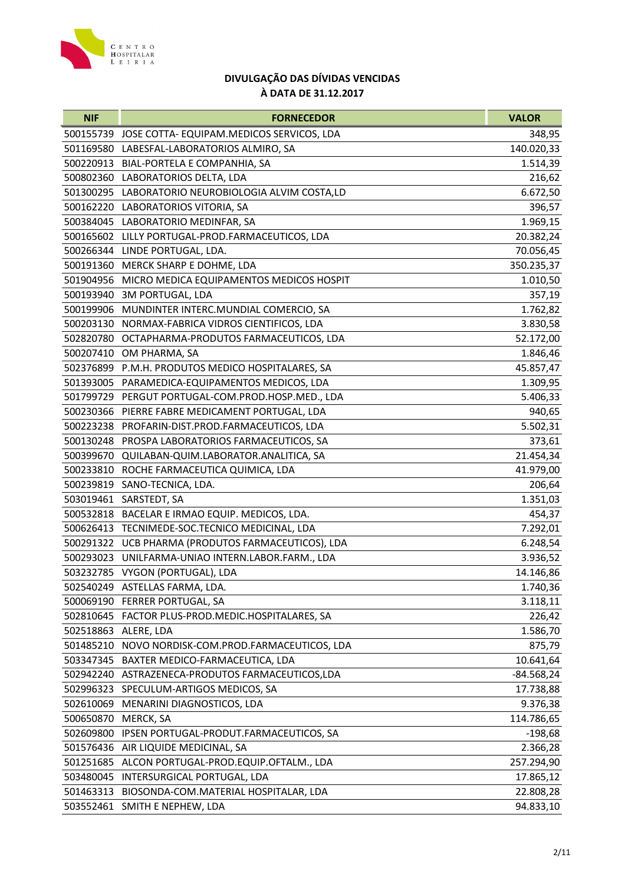

| 500155739 JOSE COTTA-EQUIPAM.MEDICOS SERVICOS, LDA<br>348,95<br>501169580<br>LABESFAL-LABORATORIOS ALMIRO, SA<br>140.020,33<br>500220913 BIAL-PORTELA E COMPANHIA, SA<br>1.514,39<br>500802360 LABORATORIOS DELTA, LDA<br>216,62<br>501300295 LABORATORIO NEUROBIOLOGIA ALVIM COSTA,LD<br>6.672,50<br>500162220 LABORATORIOS VITORIA, SA<br>396,57<br>1.969,15<br>500384045 LABORATORIO MEDINFAR, SA<br>500165602<br>LILLY PORTUGAL-PROD.FARMACEUTICOS, LDA<br>20.382,24<br>500266344 LINDE PORTUGAL, LDA.<br>70.056,45<br>500191360 MERCK SHARP E DOHME, LDA<br>350.235,37<br>501904956 MICRO MEDICA EQUIPAMENTOS MEDICOS HOSPIT<br>1.010,50<br>500193940 3M PORTUGAL, LDA<br>357,19<br>1.762,82<br>500199906 MUNDINTER INTERC.MUNDIAL COMERCIO, SA<br>500203130 NORMAX-FABRICA VIDROS CIENTIFICOS, LDA<br>3.830,58<br>502820780<br>OCTAPHARMA-PRODUTOS FARMACEUTICOS, LDA<br>52.172,00<br>1.846,46<br>500207410<br>OM PHARMA, SA<br>502376899 P.M.H. PRODUTOS MEDICO HOSPITALARES, SA<br>45.857,47<br>501393005 PARAMEDICA-EQUIPAMENTOS MEDICOS, LDA<br>1.309,95<br>5.406,33<br>501799729 PERGUT PORTUGAL-COM.PROD.HOSP.MED., LDA<br>940,65<br>500230366<br>PIERRE FABRE MEDICAMENT PORTUGAL, LDA<br>500223238<br>PROFARIN-DIST.PROD.FARMACEUTICOS, LDA<br>5.502,31<br>500130248<br>PROSPA LABORATORIOS FARMACEUTICOS, SA<br>373,61<br>500399670 QUILABAN-QUIM.LABORATOR.ANALITICA, SA<br>21.454,34<br>ROCHE FARMACEUTICA QUIMICA, LDA<br>41.979,00<br>500233810<br>206,64<br>500239819<br>SANO-TECNICA, LDA.<br>503019461 SARSTEDT, SA<br>1.351,03<br>BACELAR E IRMAO EQUIP. MEDICOS, LDA.<br>500532818<br>454,37<br>TECNIMEDE-SOC.TECNICO MEDICINAL, LDA<br>7.292,01<br>500626413<br>500291322 UCB PHARMA (PRODUTOS FARMACEUTICOS), LDA<br>6.248,54<br>UNILFARMA-UNIAO INTERN.LABOR.FARM., LDA<br>3.936,52<br>500293023 |
|-----------------------------------------------------------------------------------------------------------------------------------------------------------------------------------------------------------------------------------------------------------------------------------------------------------------------------------------------------------------------------------------------------------------------------------------------------------------------------------------------------------------------------------------------------------------------------------------------------------------------------------------------------------------------------------------------------------------------------------------------------------------------------------------------------------------------------------------------------------------------------------------------------------------------------------------------------------------------------------------------------------------------------------------------------------------------------------------------------------------------------------------------------------------------------------------------------------------------------------------------------------------------------------------------------------------------------------------------------------------------------------------------------------------------------------------------------------------------------------------------------------------------------------------------------------------------------------------------------------------------------------------------------------------------------------------------------------------------------------------------------------------------------------------------------------------------------|
|                                                                                                                                                                                                                                                                                                                                                                                                                                                                                                                                                                                                                                                                                                                                                                                                                                                                                                                                                                                                                                                                                                                                                                                                                                                                                                                                                                                                                                                                                                                                                                                                                                                                                                                                                                                                                             |
|                                                                                                                                                                                                                                                                                                                                                                                                                                                                                                                                                                                                                                                                                                                                                                                                                                                                                                                                                                                                                                                                                                                                                                                                                                                                                                                                                                                                                                                                                                                                                                                                                                                                                                                                                                                                                             |
|                                                                                                                                                                                                                                                                                                                                                                                                                                                                                                                                                                                                                                                                                                                                                                                                                                                                                                                                                                                                                                                                                                                                                                                                                                                                                                                                                                                                                                                                                                                                                                                                                                                                                                                                                                                                                             |
|                                                                                                                                                                                                                                                                                                                                                                                                                                                                                                                                                                                                                                                                                                                                                                                                                                                                                                                                                                                                                                                                                                                                                                                                                                                                                                                                                                                                                                                                                                                                                                                                                                                                                                                                                                                                                             |
|                                                                                                                                                                                                                                                                                                                                                                                                                                                                                                                                                                                                                                                                                                                                                                                                                                                                                                                                                                                                                                                                                                                                                                                                                                                                                                                                                                                                                                                                                                                                                                                                                                                                                                                                                                                                                             |
|                                                                                                                                                                                                                                                                                                                                                                                                                                                                                                                                                                                                                                                                                                                                                                                                                                                                                                                                                                                                                                                                                                                                                                                                                                                                                                                                                                                                                                                                                                                                                                                                                                                                                                                                                                                                                             |
|                                                                                                                                                                                                                                                                                                                                                                                                                                                                                                                                                                                                                                                                                                                                                                                                                                                                                                                                                                                                                                                                                                                                                                                                                                                                                                                                                                                                                                                                                                                                                                                                                                                                                                                                                                                                                             |
|                                                                                                                                                                                                                                                                                                                                                                                                                                                                                                                                                                                                                                                                                                                                                                                                                                                                                                                                                                                                                                                                                                                                                                                                                                                                                                                                                                                                                                                                                                                                                                                                                                                                                                                                                                                                                             |
|                                                                                                                                                                                                                                                                                                                                                                                                                                                                                                                                                                                                                                                                                                                                                                                                                                                                                                                                                                                                                                                                                                                                                                                                                                                                                                                                                                                                                                                                                                                                                                                                                                                                                                                                                                                                                             |
|                                                                                                                                                                                                                                                                                                                                                                                                                                                                                                                                                                                                                                                                                                                                                                                                                                                                                                                                                                                                                                                                                                                                                                                                                                                                                                                                                                                                                                                                                                                                                                                                                                                                                                                                                                                                                             |
|                                                                                                                                                                                                                                                                                                                                                                                                                                                                                                                                                                                                                                                                                                                                                                                                                                                                                                                                                                                                                                                                                                                                                                                                                                                                                                                                                                                                                                                                                                                                                                                                                                                                                                                                                                                                                             |
|                                                                                                                                                                                                                                                                                                                                                                                                                                                                                                                                                                                                                                                                                                                                                                                                                                                                                                                                                                                                                                                                                                                                                                                                                                                                                                                                                                                                                                                                                                                                                                                                                                                                                                                                                                                                                             |
|                                                                                                                                                                                                                                                                                                                                                                                                                                                                                                                                                                                                                                                                                                                                                                                                                                                                                                                                                                                                                                                                                                                                                                                                                                                                                                                                                                                                                                                                                                                                                                                                                                                                                                                                                                                                                             |
|                                                                                                                                                                                                                                                                                                                                                                                                                                                                                                                                                                                                                                                                                                                                                                                                                                                                                                                                                                                                                                                                                                                                                                                                                                                                                                                                                                                                                                                                                                                                                                                                                                                                                                                                                                                                                             |
|                                                                                                                                                                                                                                                                                                                                                                                                                                                                                                                                                                                                                                                                                                                                                                                                                                                                                                                                                                                                                                                                                                                                                                                                                                                                                                                                                                                                                                                                                                                                                                                                                                                                                                                                                                                                                             |
|                                                                                                                                                                                                                                                                                                                                                                                                                                                                                                                                                                                                                                                                                                                                                                                                                                                                                                                                                                                                                                                                                                                                                                                                                                                                                                                                                                                                                                                                                                                                                                                                                                                                                                                                                                                                                             |
|                                                                                                                                                                                                                                                                                                                                                                                                                                                                                                                                                                                                                                                                                                                                                                                                                                                                                                                                                                                                                                                                                                                                                                                                                                                                                                                                                                                                                                                                                                                                                                                                                                                                                                                                                                                                                             |
|                                                                                                                                                                                                                                                                                                                                                                                                                                                                                                                                                                                                                                                                                                                                                                                                                                                                                                                                                                                                                                                                                                                                                                                                                                                                                                                                                                                                                                                                                                                                                                                                                                                                                                                                                                                                                             |
|                                                                                                                                                                                                                                                                                                                                                                                                                                                                                                                                                                                                                                                                                                                                                                                                                                                                                                                                                                                                                                                                                                                                                                                                                                                                                                                                                                                                                                                                                                                                                                                                                                                                                                                                                                                                                             |
|                                                                                                                                                                                                                                                                                                                                                                                                                                                                                                                                                                                                                                                                                                                                                                                                                                                                                                                                                                                                                                                                                                                                                                                                                                                                                                                                                                                                                                                                                                                                                                                                                                                                                                                                                                                                                             |
|                                                                                                                                                                                                                                                                                                                                                                                                                                                                                                                                                                                                                                                                                                                                                                                                                                                                                                                                                                                                                                                                                                                                                                                                                                                                                                                                                                                                                                                                                                                                                                                                                                                                                                                                                                                                                             |
|                                                                                                                                                                                                                                                                                                                                                                                                                                                                                                                                                                                                                                                                                                                                                                                                                                                                                                                                                                                                                                                                                                                                                                                                                                                                                                                                                                                                                                                                                                                                                                                                                                                                                                                                                                                                                             |
|                                                                                                                                                                                                                                                                                                                                                                                                                                                                                                                                                                                                                                                                                                                                                                                                                                                                                                                                                                                                                                                                                                                                                                                                                                                                                                                                                                                                                                                                                                                                                                                                                                                                                                                                                                                                                             |
|                                                                                                                                                                                                                                                                                                                                                                                                                                                                                                                                                                                                                                                                                                                                                                                                                                                                                                                                                                                                                                                                                                                                                                                                                                                                                                                                                                                                                                                                                                                                                                                                                                                                                                                                                                                                                             |
|                                                                                                                                                                                                                                                                                                                                                                                                                                                                                                                                                                                                                                                                                                                                                                                                                                                                                                                                                                                                                                                                                                                                                                                                                                                                                                                                                                                                                                                                                                                                                                                                                                                                                                                                                                                                                             |
|                                                                                                                                                                                                                                                                                                                                                                                                                                                                                                                                                                                                                                                                                                                                                                                                                                                                                                                                                                                                                                                                                                                                                                                                                                                                                                                                                                                                                                                                                                                                                                                                                                                                                                                                                                                                                             |
|                                                                                                                                                                                                                                                                                                                                                                                                                                                                                                                                                                                                                                                                                                                                                                                                                                                                                                                                                                                                                                                                                                                                                                                                                                                                                                                                                                                                                                                                                                                                                                                                                                                                                                                                                                                                                             |
|                                                                                                                                                                                                                                                                                                                                                                                                                                                                                                                                                                                                                                                                                                                                                                                                                                                                                                                                                                                                                                                                                                                                                                                                                                                                                                                                                                                                                                                                                                                                                                                                                                                                                                                                                                                                                             |
|                                                                                                                                                                                                                                                                                                                                                                                                                                                                                                                                                                                                                                                                                                                                                                                                                                                                                                                                                                                                                                                                                                                                                                                                                                                                                                                                                                                                                                                                                                                                                                                                                                                                                                                                                                                                                             |
|                                                                                                                                                                                                                                                                                                                                                                                                                                                                                                                                                                                                                                                                                                                                                                                                                                                                                                                                                                                                                                                                                                                                                                                                                                                                                                                                                                                                                                                                                                                                                                                                                                                                                                                                                                                                                             |
| 503232785 VYGON (PORTUGAL), LDA<br>14.146,86                                                                                                                                                                                                                                                                                                                                                                                                                                                                                                                                                                                                                                                                                                                                                                                                                                                                                                                                                                                                                                                                                                                                                                                                                                                                                                                                                                                                                                                                                                                                                                                                                                                                                                                                                                                |
| 502540249 ASTELLAS FARMA, LDA.<br>1.740,36                                                                                                                                                                                                                                                                                                                                                                                                                                                                                                                                                                                                                                                                                                                                                                                                                                                                                                                                                                                                                                                                                                                                                                                                                                                                                                                                                                                                                                                                                                                                                                                                                                                                                                                                                                                  |
| 500069190<br>FERRER PORTUGAL, SA<br>3.118,11                                                                                                                                                                                                                                                                                                                                                                                                                                                                                                                                                                                                                                                                                                                                                                                                                                                                                                                                                                                                                                                                                                                                                                                                                                                                                                                                                                                                                                                                                                                                                                                                                                                                                                                                                                                |
| 226,42<br>502810645 FACTOR PLUS-PROD.MEDIC.HOSPITALARES, SA                                                                                                                                                                                                                                                                                                                                                                                                                                                                                                                                                                                                                                                                                                                                                                                                                                                                                                                                                                                                                                                                                                                                                                                                                                                                                                                                                                                                                                                                                                                                                                                                                                                                                                                                                                 |
| 502518863<br>1.586,70<br>ALERE, LDA                                                                                                                                                                                                                                                                                                                                                                                                                                                                                                                                                                                                                                                                                                                                                                                                                                                                                                                                                                                                                                                                                                                                                                                                                                                                                                                                                                                                                                                                                                                                                                                                                                                                                                                                                                                         |
| 501485210<br>NOVO NORDISK-COM.PROD.FARMACEUTICOS, LDA<br>875,79                                                                                                                                                                                                                                                                                                                                                                                                                                                                                                                                                                                                                                                                                                                                                                                                                                                                                                                                                                                                                                                                                                                                                                                                                                                                                                                                                                                                                                                                                                                                                                                                                                                                                                                                                             |
| BAXTER MEDICO-FARMACEUTICA, LDA<br>503347345<br>10.641,64                                                                                                                                                                                                                                                                                                                                                                                                                                                                                                                                                                                                                                                                                                                                                                                                                                                                                                                                                                                                                                                                                                                                                                                                                                                                                                                                                                                                                                                                                                                                                                                                                                                                                                                                                                   |
| 502942240<br>ASTRAZENECA-PRODUTOS FARMACEUTICOS, LDA<br>$-84.568,24$                                                                                                                                                                                                                                                                                                                                                                                                                                                                                                                                                                                                                                                                                                                                                                                                                                                                                                                                                                                                                                                                                                                                                                                                                                                                                                                                                                                                                                                                                                                                                                                                                                                                                                                                                        |
| 502996323<br>SPECULUM-ARTIGOS MEDICOS, SA<br>17.738,88                                                                                                                                                                                                                                                                                                                                                                                                                                                                                                                                                                                                                                                                                                                                                                                                                                                                                                                                                                                                                                                                                                                                                                                                                                                                                                                                                                                                                                                                                                                                                                                                                                                                                                                                                                      |
| MENARINI DIAGNOSTICOS, LDA<br>502610069<br>9.376,38                                                                                                                                                                                                                                                                                                                                                                                                                                                                                                                                                                                                                                                                                                                                                                                                                                                                                                                                                                                                                                                                                                                                                                                                                                                                                                                                                                                                                                                                                                                                                                                                                                                                                                                                                                         |
| 500650870<br>MERCK, SA<br>114.786,65                                                                                                                                                                                                                                                                                                                                                                                                                                                                                                                                                                                                                                                                                                                                                                                                                                                                                                                                                                                                                                                                                                                                                                                                                                                                                                                                                                                                                                                                                                                                                                                                                                                                                                                                                                                        |
| 502609800<br>IPSEN PORTUGAL-PRODUT.FARMACEUTICOS, SA<br>$-198,68$                                                                                                                                                                                                                                                                                                                                                                                                                                                                                                                                                                                                                                                                                                                                                                                                                                                                                                                                                                                                                                                                                                                                                                                                                                                                                                                                                                                                                                                                                                                                                                                                                                                                                                                                                           |
| 501576436<br>AIR LIQUIDE MEDICINAL, SA<br>2.366,28                                                                                                                                                                                                                                                                                                                                                                                                                                                                                                                                                                                                                                                                                                                                                                                                                                                                                                                                                                                                                                                                                                                                                                                                                                                                                                                                                                                                                                                                                                                                                                                                                                                                                                                                                                          |
| 501251685<br>ALCON PORTUGAL-PROD.EQUIP.OFTALM., LDA<br>257.294,90                                                                                                                                                                                                                                                                                                                                                                                                                                                                                                                                                                                                                                                                                                                                                                                                                                                                                                                                                                                                                                                                                                                                                                                                                                                                                                                                                                                                                                                                                                                                                                                                                                                                                                                                                           |
| 503480045<br>INTERSURGICAL PORTUGAL, LDA<br>17.865,12                                                                                                                                                                                                                                                                                                                                                                                                                                                                                                                                                                                                                                                                                                                                                                                                                                                                                                                                                                                                                                                                                                                                                                                                                                                                                                                                                                                                                                                                                                                                                                                                                                                                                                                                                                       |
| 501463313<br>BIOSONDA-COM.MATERIAL HOSPITALAR, LDA<br>22.808,28                                                                                                                                                                                                                                                                                                                                                                                                                                                                                                                                                                                                                                                                                                                                                                                                                                                                                                                                                                                                                                                                                                                                                                                                                                                                                                                                                                                                                                                                                                                                                                                                                                                                                                                                                             |
| 94.833,10<br>503552461 SMITH E NEPHEW, LDA                                                                                                                                                                                                                                                                                                                                                                                                                                                                                                                                                                                                                                                                                                                                                                                                                                                                                                                                                                                                                                                                                                                                                                                                                                                                                                                                                                                                                                                                                                                                                                                                                                                                                                                                                                                  |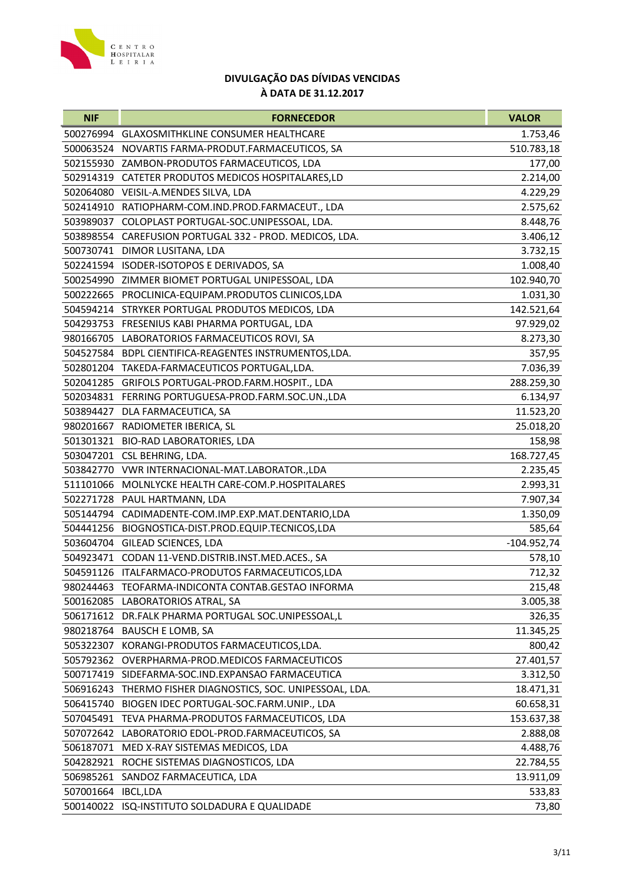

| <b>NIF</b> | <b>FORNECEDOR</b>                                          | <b>VALOR</b>  |
|------------|------------------------------------------------------------|---------------|
| 500276994  | <b>GLAXOSMITHKLINE CONSUMER HEALTHCARE</b>                 | 1.753,46      |
| 500063524  | NOVARTIS FARMA-PRODUT.FARMACEUTICOS, SA                    | 510.783,18    |
|            | 502155930 ZAMBON-PRODUTOS FARMACEUTICOS, LDA               | 177,00        |
| 502914319  | CATETER PRODUTOS MEDICOS HOSPITALARES, LD                  | 2.214,00      |
|            | 502064080 VEISIL-A.MENDES SILVA, LDA                       | 4.229,29      |
|            | 502414910 RATIOPHARM-COM.IND.PROD.FARMACEUT., LDA          | 2.575,62      |
|            | 503989037 COLOPLAST PORTUGAL-SOC.UNIPESSOAL, LDA.          | 8.448,76      |
| 503898554  | CAREFUSION PORTUGAL 332 - PROD. MEDICOS, LDA.              | 3.406,12      |
| 500730741  | DIMOR LUSITANA, LDA                                        | 3.732,15      |
|            | 502241594 ISODER-ISOTOPOS E DERIVADOS, SA                  | 1.008,40      |
|            | 500254990 ZIMMER BIOMET PORTUGAL UNIPESSOAL, LDA           | 102.940,70    |
|            | 500222665 PROCLINICA-EQUIPAM.PRODUTOS CLINICOS,LDA         | 1.031,30      |
|            | 504594214 STRYKER PORTUGAL PRODUTOS MEDICOS, LDA           | 142.521,64    |
|            | 504293753 FRESENIUS KABI PHARMA PORTUGAL, LDA              | 97.929,02     |
| 980166705  | LABORATORIOS FARMACEUTICOS ROVI, SA                        | 8.273,30      |
|            | 504527584 BDPL CIENTIFICA-REAGENTES INSTRUMENTOS, LDA.     | 357,95        |
|            | 502801204 TAKEDA-FARMACEUTICOS PORTUGAL, LDA.              | 7.036,39      |
|            | 502041285 GRIFOLS PORTUGAL-PROD.FARM.HOSPIT., LDA          | 288.259,30    |
|            | 502034831 FERRING PORTUGUESA-PROD.FARM.SOC.UN.,LDA         | 6.134,97      |
|            | 503894427 DLA FARMACEUTICA, SA                             | 11.523,20     |
|            | 980201667 RADIOMETER IBERICA, SL                           | 25.018,20     |
|            | 501301321 BIO-RAD LABORATORIES, LDA                        | 158,98        |
|            | 503047201 CSL BEHRING, LDA.                                | 168.727,45    |
|            | 503842770 VWR INTERNACIONAL-MAT.LABORATOR.,LDA             | 2.235,45      |
| 511101066  | MOLNLYCKE HEALTH CARE-COM.P.HOSPITALARES                   | 2.993,31      |
|            | 502271728 PAUL HARTMANN, LDA                               | 7.907,34      |
| 505144794  | CADIMADENTE-COM.IMP.EXP.MAT.DENTARIO,LDA                   | 1.350,09      |
|            | 504441256 BIOGNOSTICA-DIST.PROD.EQUIP.TECNICOS,LDA         | 585,64        |
|            | 503604704 GILEAD SCIENCES, LDA                             | $-104.952,74$ |
|            | 504923471 CODAN 11-VEND.DISTRIB.INST.MED.ACES., SA         | 578,10        |
|            | 504591126 ITALFARMACO-PRODUTOS FARMACEUTICOS,LDA           | 712,32        |
| 980244463  | TEOFARMA-INDICONTA CONTAB.GESTAO INFORMA                   | 215,48        |
|            | 500162085 LABORATORIOS ATRAL, SA                           | 3.005,38      |
|            | 506171612 DR.FALK PHARMA PORTUGAL SOC.UNIPESSOAL,L         | 326,35        |
|            | 980218764 BAUSCH E LOMB, SA                                | 11.345,25     |
|            | 505322307 KORANGI-PRODUTOS FARMACEUTICOS, LDA.             | 800,42        |
| 505792362  | OVERPHARMA-PROD.MEDICOS FARMACEUTICOS                      | 27.401,57     |
| 500717419  | SIDEFARMA-SOC.IND.EXPANSAO FARMACEUTICA                    | 3.312,50      |
|            | 506916243 THERMO FISHER DIAGNOSTICS, SOC. UNIPESSOAL, LDA. | 18.471,31     |
|            | 506415740 BIOGEN IDEC PORTUGAL-SOC.FARM.UNIP., LDA         | 60.658,31     |
|            | 507045491 TEVA PHARMA-PRODUTOS FARMACEUTICOS, LDA          | 153.637,38    |
|            | 507072642 LABORATORIO EDOL-PROD.FARMACEUTICOS, SA          | 2.888,08      |
| 506187071  | MED X-RAY SISTEMAS MEDICOS, LDA                            | 4.488,76      |
| 504282921  | ROCHE SISTEMAS DIAGNOSTICOS, LDA                           | 22.784,55     |
| 506985261  | SANDOZ FARMACEUTICA, LDA                                   | 13.911,09     |
| 507001664  | IBCL, LDA                                                  | 533,83        |
|            | 500140022 ISQ-INSTITUTO SOLDADURA E QUALIDADE              | 73,80         |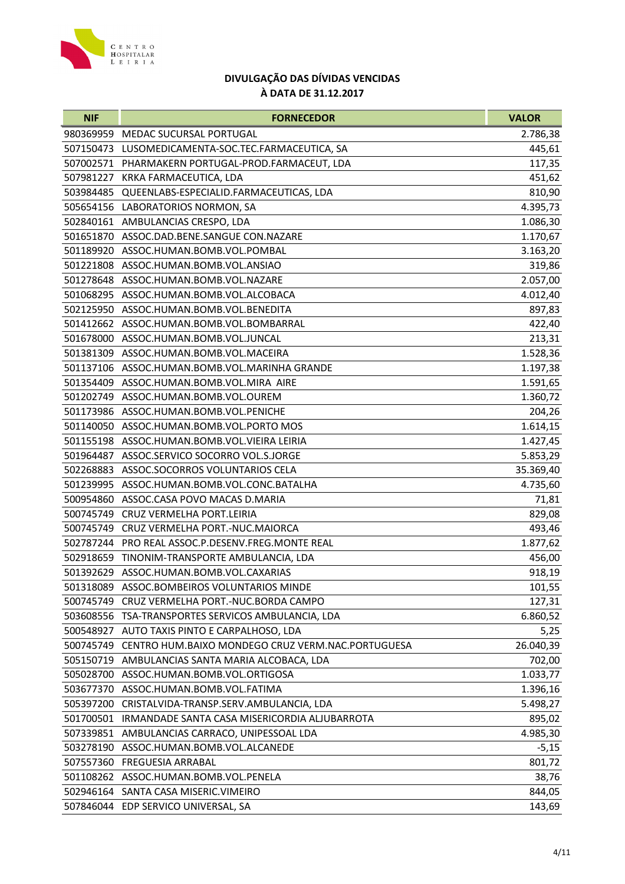

| <b>NIF</b> | <b>FORNECEDOR</b>                                       | <b>VALOR</b> |
|------------|---------------------------------------------------------|--------------|
| 980369959  | <b>MEDAC SUCURSAL PORTUGAL</b>                          | 2.786,38     |
| 507150473  | LUSOMEDICAMENTA-SOC.TEC.FARMACEUTICA, SA                | 445,61       |
|            | 507002571 PHARMAKERN PORTUGAL-PROD.FARMACEUT, LDA       | 117,35       |
| 507981227  | KRKA FARMACEUTICA, LDA                                  | 451,62       |
| 503984485  | QUEENLABS-ESPECIALID.FARMACEUTICAS, LDA                 | 810,90       |
|            | 505654156 LABORATORIOS NORMON, SA                       | 4.395,73     |
|            | 502840161 AMBULANCIAS CRESPO, LDA                       | 1.086,30     |
| 501651870  | ASSOC.DAD.BENE.SANGUE CON.NAZARE                        | 1.170,67     |
| 501189920  | ASSOC.HUMAN.BOMB.VOL.POMBAL                             | 3.163,20     |
|            | 501221808 ASSOC.HUMAN.BOMB.VOL.ANSIAO                   | 319,86       |
|            | 501278648 ASSOC.HUMAN.BOMB.VOL.NAZARE                   | 2.057,00     |
|            | 501068295 ASSOC.HUMAN.BOMB.VOL.ALCOBACA                 | 4.012,40     |
|            | 502125950 ASSOC.HUMAN.BOMB.VOL.BENEDITA                 | 897,83       |
|            | 501412662 ASSOC.HUMAN.BOMB.VOL.BOMBARRAL                | 422,40       |
| 501678000  | ASSOC.HUMAN.BOMB.VOL.JUNCAL                             | 213,31       |
|            | 501381309 ASSOC.HUMAN.BOMB.VOL.MACEIRA                  | 1.528,36     |
|            | 501137106 ASSOC.HUMAN.BOMB.VOL.MARINHA GRANDE           | 1.197,38     |
|            | 501354409 ASSOC.HUMAN.BOMB.VOL.MIRA AIRE                | 1.591,65     |
|            | 501202749 ASSOC.HUMAN.BOMB.VOL.OUREM                    | 1.360,72     |
|            | 501173986 ASSOC.HUMAN.BOMB.VOL.PENICHE                  | 204,26       |
|            | 501140050 ASSOC.HUMAN.BOMB.VOL.PORTO MOS                | 1.614,15     |
|            | 501155198 ASSOC.HUMAN.BOMB.VOL.VIEIRA LEIRIA            | 1.427,45     |
|            | 501964487 ASSOC.SERVICO SOCORRO VOL.S.JORGE             | 5.853,29     |
| 502268883  | ASSOC.SOCORROS VOLUNTARIOS CELA                         | 35.369,40    |
|            | 501239995 ASSOC.HUMAN.BOMB.VOL.CONC.BATALHA             | 4.735,60     |
| 500954860  | ASSOC.CASA POVO MACAS D.MARIA                           | 71,81        |
| 500745749  | CRUZ VERMELHA PORT.LEIRIA                               | 829,08       |
| 500745749  | CRUZ VERMELHA PORT.-NUC.MAIORCA                         | 493,46       |
|            | 502787244 PRO REAL ASSOC.P.DESENV.FREG.MONTE REAL       | 1.877,62     |
|            | 502918659 TINONIM-TRANSPORTE AMBULANCIA, LDA            | 456,00       |
|            | 501392629 ASSOC.HUMAN.BOMB.VOL.CAXARIAS                 | 918,19       |
|            | 501318089 ASSOC.BOMBEIROS VOLUNTARIOS MINDE             | 101,55       |
| 500745749  | CRUZ VERMELHA PORT.-NUC.BORDA CAMPO                     | 127,31       |
|            | 503608556 TSA-TRANSPORTES SERVICOS AMBULANCIA, LDA      | 6.860,52     |
|            | 500548927 AUTO TAXIS PINTO E CARPALHOSO, LDA            | 5,25         |
| 500745749  | CENTRO HUM.BAIXO MONDEGO CRUZ VERM.NAC.PORTUGUESA       | 26.040,39    |
| 505150719  | AMBULANCIAS SANTA MARIA ALCOBACA, LDA                   | 702,00       |
| 505028700  | ASSOC.HUMAN.BOMB.VOL.ORTIGOSA                           | 1.033,77     |
|            | 503677370 ASSOC.HUMAN.BOMB.VOL.FATIMA                   | 1.396,16     |
| 505397200  | CRISTALVIDA-TRANSP.SERV.AMBULANCIA, LDA                 | 5.498,27     |
|            | 501700501 IRMANDADE SANTA CASA MISERICORDIA ALJUBARROTA | 895,02       |
|            | 507339851 AMBULANCIAS CARRACO, UNIPESSOAL LDA           | 4.985,30     |
| 503278190  | ASSOC.HUMAN.BOMB.VOL.ALCANEDE                           | $-5,15$      |
|            | 507557360 FREGUESIA ARRABAL                             | 801,72       |
|            | 501108262 ASSOC.HUMAN.BOMB.VOL.PENELA                   | 38,76        |
|            | 502946164 SANTA CASA MISERIC.VIMEIRO                    | 844,05       |
|            | 507846044 EDP SERVICO UNIVERSAL, SA                     | 143,69       |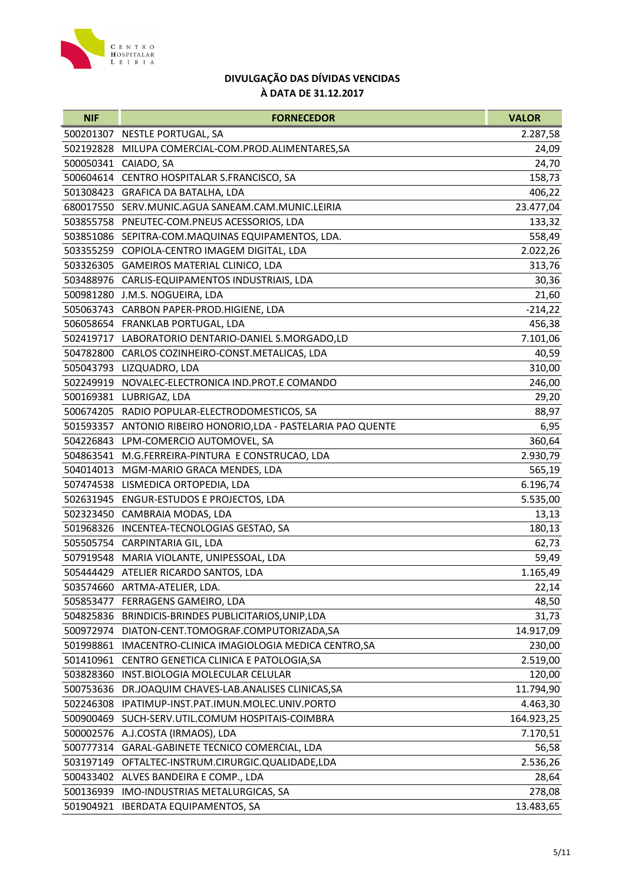

| <b>NIF</b> | <b>FORNECEDOR</b>                                              | <b>VALOR</b> |
|------------|----------------------------------------------------------------|--------------|
|            | 500201307 NESTLE PORTUGAL, SA                                  | 2.287,58     |
| 502192828  | MILUPA COMERCIAL-COM.PROD.ALIMENTARES, SA                      | 24,09        |
|            | 500050341 CAIADO, SA                                           | 24,70        |
|            | 500604614 CENTRO HOSPITALAR S.FRANCISCO, SA                    | 158,73       |
|            | 501308423 GRAFICA DA BATALHA, LDA                              | 406,22       |
|            | 680017550 SERV.MUNIC.AGUA SANEAM.CAM.MUNIC.LEIRIA              | 23.477,04    |
|            | 503855758 PNEUTEC-COM.PNEUS ACESSORIOS, LDA                    | 133,32       |
|            | 503851086 SEPITRA-COM.MAQUINAS EQUIPAMENTOS, LDA.              | 558,49       |
|            | 503355259 COPIOLA-CENTRO IMAGEM DIGITAL, LDA                   | 2.022,26     |
|            | 503326305 GAMEIROS MATERIAL CLINICO, LDA                       | 313,76       |
|            | 503488976 CARLIS-EQUIPAMENTOS INDUSTRIAIS, LDA                 | 30,36        |
|            | 500981280 J.M.S. NOGUEIRA, LDA                                 | 21,60        |
|            | 505063743 CARBON PAPER-PROD.HIGIENE, LDA                       | $-214,22$    |
|            | 506058654 FRANKLAB PORTUGAL, LDA                               | 456,38       |
| 502419717  | LABORATORIO DENTARIO-DANIEL S.MORGADO,LD                       | 7.101,06     |
| 504782800  | CARLOS COZINHEIRO-CONST.METALICAS, LDA                         | 40,59        |
|            | 505043793 LIZQUADRO, LDA                                       | 310,00       |
|            | 502249919 NOVALEC-ELECTRONICA IND.PROT.E COMANDO               | 246,00       |
|            | 500169381 LUBRIGAZ, LDA                                        | 29,20        |
|            | 500674205 RADIO POPULAR-ELECTRODOMESTICOS, SA                  | 88,97        |
|            | 501593357 ANTONIO RIBEIRO HONORIO, LDA - PASTELARIA PAO QUENTE | 6,95         |
| 504226843  | LPM-COMERCIO AUTOMOVEL, SA                                     | 360,64       |
|            | 504863541 M.G.FERREIRA-PINTURA E CONSTRUCAO, LDA               | 2.930,79     |
|            | 504014013 MGM-MARIO GRACA MENDES, LDA                          | 565,19       |
|            | 507474538 LISMEDICA ORTOPEDIA, LDA                             | 6.196,74     |
|            | 502631945 ENGUR-ESTUDOS E PROJECTOS, LDA                       | 5.535,00     |
|            | 502323450 CAMBRAIA MODAS, LDA                                  | 13,13        |
|            | 501968326 INCENTEA-TECNOLOGIAS GESTAO, SA                      | 180,13       |
|            | 505505754 CARPINTARIA GIL, LDA                                 | 62,73        |
|            | 507919548 MARIA VIOLANTE, UNIPESSOAL, LDA                      | 59,49        |
|            | 505444429 ATELIER RICARDO SANTOS, LDA                          | 1.165,49     |
| 503574660  | ARTMA-ATELIER, LDA.                                            | 22,14        |
| 505853477  | FERRAGENS GAMEIRO, LDA                                         | 48,50        |
|            | 504825836 BRINDICIS-BRINDES PUBLICITARIOS, UNIP, LDA           | 31,73        |
| 500972974  | DIATON-CENT.TOMOGRAF.COMPUTORIZADA,SA                          | 14.917,09    |
| 501998861  | IMACENTRO-CLINICA IMAGIOLOGIA MEDICA CENTRO, SA                | 230,00       |
| 501410961  | CENTRO GENETICA CLINICA E PATOLOGIA, SA                        | 2.519,00     |
| 503828360  | INST.BIOLOGIA MOLECULAR CELULAR                                | 120,00       |
| 500753636  | DR.JOAQUIM CHAVES-LAB.ANALISES CLINICAS, SA                    | 11.794,90    |
| 502246308  | IPATIMUP-INST.PAT.IMUN.MOLEC.UNIV.PORTO                        | 4.463,30     |
| 500900469  | SUCH-SERV.UTIL.COMUM HOSPITAIS-COIMBRA                         | 164.923,25   |
| 500002576  | A.J.COSTA (IRMAOS), LDA                                        | 7.170,51     |
| 500777314  | GARAL-GABINETE TECNICO COMERCIAL, LDA                          | 56,58        |
| 503197149  | OFTALTEC-INSTRUM.CIRURGIC.QUALIDADE,LDA                        | 2.536,26     |
|            | 500433402 ALVES BANDEIRA E COMP., LDA                          | 28,64        |
|            | 500136939 IMO-INDUSTRIAS METALURGICAS, SA                      | 278,08       |
|            | 501904921 IBERDATA EQUIPAMENTOS, SA                            | 13.483,65    |
|            |                                                                |              |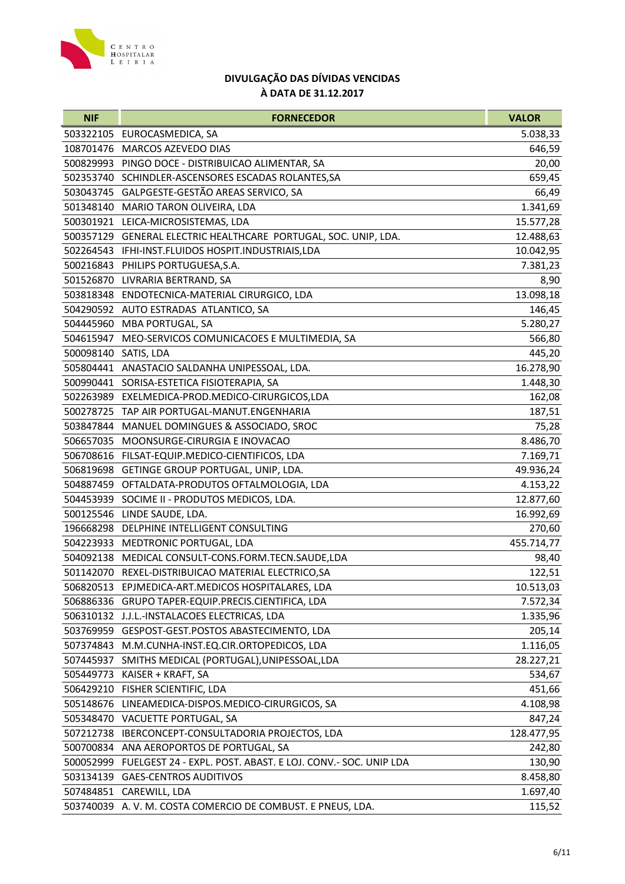

| <b>NIF</b>           | <b>FORNECEDOR</b>                                                      | <b>VALOR</b> |
|----------------------|------------------------------------------------------------------------|--------------|
|                      | 503322105 EUROCASMEDICA, SA                                            | 5.038,33     |
| 108701476            | MARCOS AZEVEDO DIAS                                                    | 646,59       |
|                      | 500829993 PINGO DOCE - DISTRIBUICAO ALIMENTAR, SA                      | 20,00        |
|                      | 502353740 SCHINDLER-ASCENSORES ESCADAS ROLANTES, SA                    | 659,45       |
|                      | 503043745 GALPGESTE-GESTÃO AREAS SERVICO, SA                           | 66,49        |
|                      | 501348140 MARIO TARON OLIVEIRA, LDA                                    | 1.341,69     |
|                      | 500301921 LEICA-MICROSISTEMAS, LDA                                     | 15.577,28    |
|                      | 500357129 GENERAL ELECTRIC HEALTHCARE PORTUGAL, SOC. UNIP, LDA.        | 12.488,63    |
| 502264543            | IFHI-INST.FLUIDOS HOSPIT.INDUSTRIAIS,LDA                               | 10.042,95    |
|                      | 500216843 PHILIPS PORTUGUESA, S.A.                                     | 7.381,23     |
|                      | 501526870 LIVRARIA BERTRAND, SA                                        | 8,90         |
|                      | 503818348 ENDOTECNICA-MATERIAL CIRURGICO, LDA                          | 13.098,18    |
|                      | 504290592 AUTO ESTRADAS ATLANTICO, SA                                  | 146,45       |
|                      | 504445960 MBA PORTUGAL, SA                                             | 5.280,27     |
| 504615947            | MEO-SERVICOS COMUNICACOES E MULTIMEDIA, SA                             | 566,80       |
| 500098140 SATIS, LDA |                                                                        | 445,20       |
|                      | 505804441 ANASTACIO SALDANHA UNIPESSOAL, LDA.                          | 16.278,90    |
|                      | 500990441 SORISA-ESTETICA FISIOTERAPIA, SA                             | 1.448,30     |
|                      | 502263989 EXELMEDICA-PROD.MEDICO-CIRURGICOS,LDA                        | 162,08       |
|                      | 500278725 TAP AIR PORTUGAL-MANUT.ENGENHARIA                            | 187,51       |
| 503847844            | MANUEL DOMINGUES & ASSOCIADO, SROC                                     | 75,28        |
| 506657035            | MOONSURGE-CIRURGIA E INOVACAO                                          | 8.486,70     |
|                      | 506708616 FILSAT-EQUIP.MEDICO-CIENTIFICOS, LDA                         | 7.169,71     |
| 506819698            | GETINGE GROUP PORTUGAL, UNIP, LDA.                                     | 49.936,24    |
|                      | 504887459 OFTALDATA-PRODUTOS OFTALMOLOGIA, LDA                         | 4.153,22     |
|                      | 504453939 SOCIME II - PRODUTOS MEDICOS, LDA.                           | 12.877,60    |
| 500125546            | LINDE SAUDE, LDA.                                                      | 16.992,69    |
|                      | 196668298 DELPHINE INTELLIGENT CONSULTING                              | 270,60       |
|                      | 504223933 MEDTRONIC PORTUGAL, LDA                                      | 455.714,77   |
|                      | 504092138 MEDICAL CONSULT-CONS.FORM.TECN.SAUDE,LDA                     | 98,40        |
|                      | 501142070 REXEL-DISTRIBUICAO MATERIAL ELECTRICO, SA                    | 122,51       |
|                      | 506820513 EPJMEDICA-ART.MEDICOS HOSPITALARES, LDA                      | 10.513,03    |
|                      | 506886336 GRUPO TAPER-EQUIP.PRECIS.CIENTIFICA, LDA                     | 7.572,34     |
|                      | 506310132 J.J.L.-INSTALACOES ELECTRICAS, LDA                           | 1.335,96     |
|                      | 503769959 GESPOST-GEST.POSTOS ABASTECIMENTO, LDA                       | 205,14       |
| 507374843            | M.M.CUNHA-INST.EQ.CIR.ORTOPEDICOS, LDA                                 | 1.116,05     |
| 507445937            | SMITHS MEDICAL (PORTUGAL), UNIPESSOAL, LDA                             | 28.227,21    |
| 505449773            | KAISER + KRAFT, SA                                                     | 534,67       |
|                      | 506429210 FISHER SCIENTIFIC, LDA                                       | 451,66       |
|                      | 505148676 LINEAMEDICA-DISPOS.MEDICO-CIRURGICOS, SA                     | 4.108,98     |
|                      | 505348470 VACUETTE PORTUGAL, SA                                        | 847,24       |
|                      | 507212738 IBERCONCEPT-CONSULTADORIA PROJECTOS, LDA                     | 128.477,95   |
| 500700834            | ANA AEROPORTOS DE PORTUGAL, SA                                         | 242,80       |
|                      | 500052999 FUELGEST 24 - EXPL. POST. ABAST. E LOJ. CONV.- SOC. UNIP LDA | 130,90       |
| 503134139            | <b>GAES-CENTROS AUDITIVOS</b>                                          | 8.458,80     |
|                      | 507484851 CAREWILL, LDA                                                | 1.697,40     |
|                      | 503740039 A.V. M. COSTA COMERCIO DE COMBUST. E PNEUS, LDA.             | 115,52       |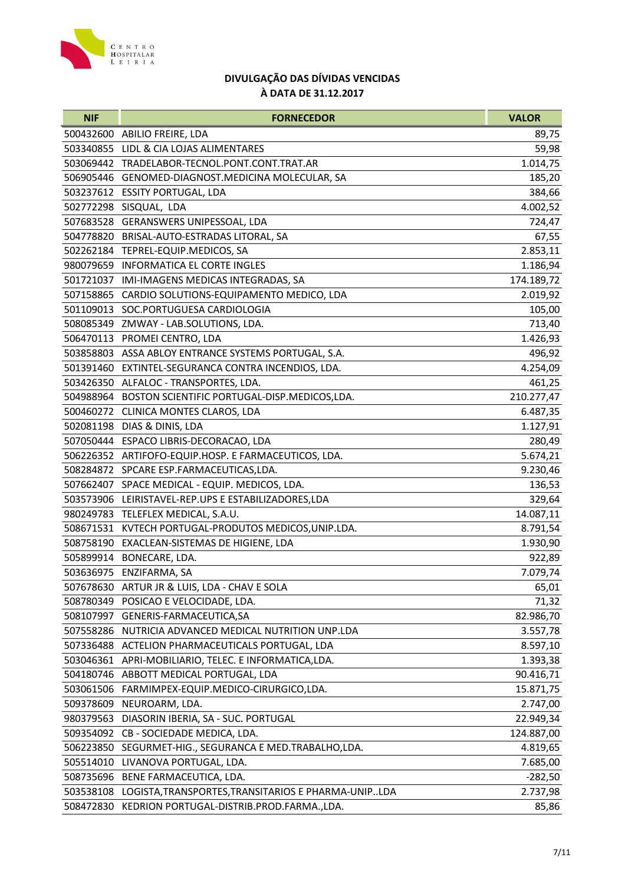

| <b>NIF</b> | <b>FORNECEDOR</b>                                             | <b>VALOR</b> |
|------------|---------------------------------------------------------------|--------------|
|            | 500432600 ABILIO FREIRE, LDA                                  | 89,75        |
| 503340855  | LIDL & CIA LOJAS ALIMENTARES                                  | 59,98        |
|            | 503069442 TRADELABOR-TECNOL.PONT.CONT.TRAT.AR                 | 1.014,75     |
|            | 506905446 GENOMED-DIAGNOST.MEDICINA MOLECULAR, SA             | 185,20       |
|            | 503237612 ESSITY PORTUGAL, LDA                                | 384,66       |
|            | 502772298 SISQUAL, LDA                                        | 4.002,52     |
|            | 507683528 GERANSWERS UNIPESSOAL, LDA                          | 724,47       |
|            | 504778820 BRISAL-AUTO-ESTRADAS LITORAL, SA                    | 67,55        |
|            | 502262184 TEPREL-EQUIP.MEDICOS, SA                            | 2.853,11     |
|            | 980079659 INFORMATICA EL CORTE INGLES                         | 1.186,94     |
|            | 501721037 IMI-IMAGENS MEDICAS INTEGRADAS, SA                  | 174.189,72   |
|            | 507158865 CARDIO SOLUTIONS-EQUIPAMENTO MEDICO, LDA            | 2.019,92     |
|            | 501109013 SOC.PORTUGUESA CARDIOLOGIA                          | 105,00       |
|            | 508085349 ZMWAY - LAB.SOLUTIONS, LDA.                         | 713,40       |
|            | 506470113 PROMEI CENTRO, LDA                                  | 1.426,93     |
|            | 503858803 ASSA ABLOY ENTRANCE SYSTEMS PORTUGAL, S.A.          | 496,92       |
|            | 501391460 EXTINTEL-SEGURANCA CONTRA INCENDIOS, LDA.           | 4.254,09     |
|            | 503426350 ALFALOC - TRANSPORTES, LDA.                         | 461,25       |
|            | 504988964 BOSTON SCIENTIFIC PORTUGAL-DISP.MEDICOS,LDA.        | 210.277,47   |
|            | 500460272 CLINICA MONTES CLAROS, LDA                          | 6.487,35     |
|            | 502081198 DIAS & DINIS, LDA                                   | 1.127,91     |
|            | 507050444 ESPACO LIBRIS-DECORACAO, LDA                        | 280,49       |
|            | 506226352 ARTIFOFO-EQUIP.HOSP. E FARMACEUTICOS, LDA.          | 5.674,21     |
|            | 508284872 SPCARE ESP.FARMACEUTICAS,LDA.                       | 9.230,46     |
|            | 507662407 SPACE MEDICAL - EQUIP. MEDICOS, LDA.                | 136,53       |
|            | 503573906 LEIRISTAVEL-REP.UPS E ESTABILIZADORES,LDA           | 329,64       |
|            | 980249783 TELEFLEX MEDICAL, S.A.U.                            | 14.087,11    |
|            | 508671531 KVTECH PORTUGAL-PRODUTOS MEDICOS, UNIP.LDA.         | 8.791,54     |
|            | 508758190 EXACLEAN-SISTEMAS DE HIGIENE, LDA                   | 1.930,90     |
|            | 505899914 BONECARE, LDA.                                      | 922,89       |
|            | 503636975 ENZIFARMA, SA                                       | 7.079,74     |
| 507678630  | ARTUR JR & LUIS, LDA - CHAV E SOLA                            | 65,01        |
| 508780349  | POSICAO E VELOCIDADE, LDA.                                    | 71,32        |
| 508107997  | GENERIS-FARMACEUTICA, SA                                      | 82.986,70    |
| 507558286  | NUTRICIA ADVANCED MEDICAL NUTRITION UNP.LDA                   | 3.557,78     |
| 507336488  | ACTELION PHARMACEUTICALS PORTUGAL, LDA                        | 8.597,10     |
| 503046361  | APRI-MOBILIARIO, TELEC. E INFORMATICA, LDA.                   | 1.393,38     |
| 504180746  | ABBOTT MEDICAL PORTUGAL, LDA                                  | 90.416,71    |
| 503061506  | FARMIMPEX-EQUIP.MEDICO-CIRURGICO,LDA.                         | 15.871,75    |
| 509378609  | NEUROARM, LDA.                                                | 2.747,00     |
| 980379563  | DIASORIN IBERIA, SA - SUC. PORTUGAL                           | 22.949,34    |
| 509354092  | CB - SOCIEDADE MEDICA, LDA.                                   | 124.887,00   |
| 506223850  | SEGURMET-HIG., SEGURANCA E MED.TRABALHO,LDA.                  | 4.819,65     |
| 505514010  | LIVANOVA PORTUGAL, LDA.                                       | 7.685,00     |
|            | 508735696 BENE FARMACEUTICA, LDA.                             | $-282,50$    |
|            | 503538108 LOGISTA, TRANSPORTES, TRANSITARIOS E PHARMA-UNIPLDA | 2.737,98     |
|            | 508472830 KEDRION PORTUGAL-DISTRIB.PROD.FARMA.,LDA.           | 85,86        |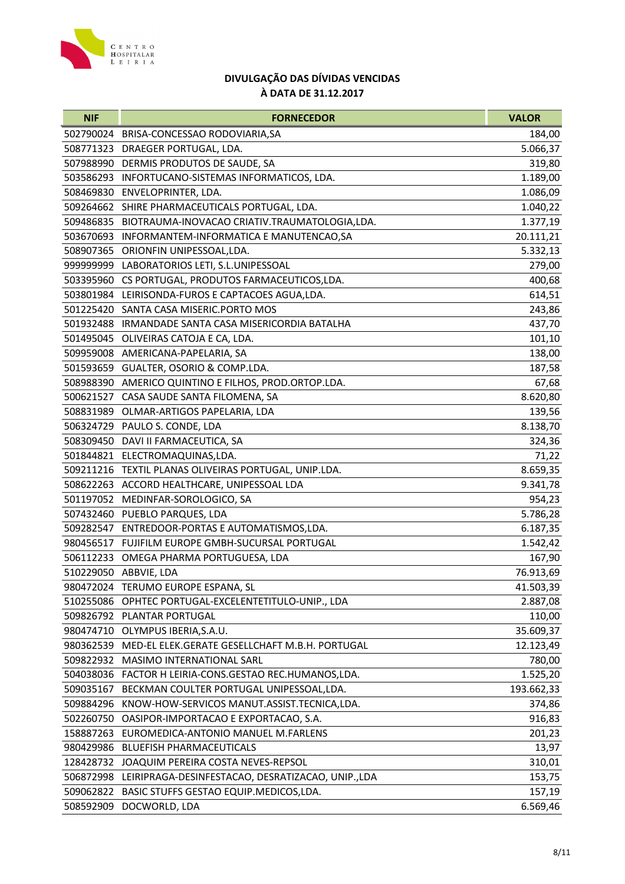

| <b>NIF</b> | <b>FORNECEDOR</b>                                           | <b>VALOR</b> |
|------------|-------------------------------------------------------------|--------------|
|            | 502790024 BRISA-CONCESSAO RODOVIARIA, SA                    | 184,00       |
|            | 508771323 DRAEGER PORTUGAL, LDA.                            | 5.066,37     |
|            | 507988990 DERMIS PRODUTOS DE SAUDE, SA                      | 319,80       |
|            | 503586293 INFORTUCANO-SISTEMAS INFORMATICOS, LDA.           | 1.189,00     |
|            | 508469830 ENVELOPRINTER, LDA.                               | 1.086,09     |
|            | 509264662 SHIRE PHARMACEUTICALS PORTUGAL, LDA.              | 1.040,22     |
|            | 509486835 BIOTRAUMA-INOVACAO CRIATIV.TRAUMATOLOGIA,LDA.     | 1.377,19     |
|            | 503670693 INFORMANTEM-INFORMATICA E MANUTENCAO, SA          | 20.111,21    |
| 508907365  | ORIONFIN UNIPESSOAL, LDA.                                   | 5.332,13     |
|            | 999999999 LABORATORIOS LETI, S.L.UNIPESSOAL                 | 279,00       |
|            | 503395960 CS PORTUGAL, PRODUTOS FARMACEUTICOS,LDA.          | 400,68       |
|            | 503801984 LEIRISONDA-FUROS E CAPTACOES AGUA, LDA.           | 614,51       |
|            | 501225420 SANTA CASA MISERIC.PORTO MOS                      | 243,86       |
|            | 501932488 IRMANDADE SANTA CASA MISERICORDIA BATALHA         | 437,70       |
| 501495045  | OLIVEIRAS CATOJA E CA, LDA.                                 | 101,10       |
|            | 509959008 AMERICANA-PAPELARIA, SA                           | 138,00       |
|            | 501593659 GUALTER, OSORIO & COMP.LDA.                       | 187,58       |
|            | 508988390 AMERICO QUINTINO E FILHOS, PROD.ORTOP.LDA.        | 67,68        |
|            | 500621527 CASA SAUDE SANTA FILOMENA, SA                     | 8.620,80     |
|            | 508831989 OLMAR-ARTIGOS PAPELARIA, LDA                      | 139,56       |
|            | 506324729 PAULO S. CONDE, LDA                               | 8.138,70     |
|            | 508309450 DAVI II FARMACEUTICA, SA                          | 324,36       |
|            | 501844821 ELECTROMAQUINAS,LDA.                              | 71,22        |
|            | 509211216 TEXTIL PLANAS OLIVEIRAS PORTUGAL, UNIP.LDA.       | 8.659,35     |
|            | 508622263 ACCORD HEALTHCARE, UNIPESSOAL LDA                 | 9.341,78     |
|            | 501197052 MEDINFAR-SOROLOGICO, SA                           | 954,23       |
|            | 507432460 PUEBLO PARQUES, LDA                               | 5.786,28     |
|            | 509282547 ENTREDOOR-PORTAS E AUTOMATISMOS,LDA.              | 6.187,35     |
|            | 980456517 FUJIFILM EUROPE GMBH-SUCURSAL PORTUGAL            | 1.542,42     |
|            | 506112233 OMEGA PHARMA PORTUGUESA, LDA                      | 167,90       |
|            | 510229050 ABBVIE, LDA                                       | 76.913,69    |
|            | 980472024 TERUMO EUROPE ESPANA, SL                          | 41.503,39    |
|            | 510255086 OPHTEC PORTUGAL-EXCELENTETITULO-UNIP., LDA        | 2.887,08     |
|            | 509826792 PLANTAR PORTUGAL                                  | 110,00       |
|            | 980474710 OLYMPUS IBERIA, S.A.U.                            | 35.609,37    |
|            | 980362539 MED-EL ELEK.GERATE GESELLCHAFT M.B.H. PORTUGAL    | 12.123,49    |
| 509822932  | MASIMO INTERNATIONAL SARL                                   | 780,00       |
|            | 504038036 FACTOR H LEIRIA-CONS.GESTAO REC.HUMANOS,LDA.      | 1.525,20     |
| 509035167  | BECKMAN COULTER PORTUGAL UNIPESSOAL, LDA.                   | 193.662,33   |
| 509884296  | KNOW-HOW-SERVICOS MANUT.ASSIST.TECNICA,LDA.                 | 374,86       |
|            | 502260750 OASIPOR-IMPORTACAO E EXPORTACAO, S.A.             | 916,83       |
|            | 158887263 EUROMEDICA-ANTONIO MANUEL M.FARLENS               | 201,23       |
| 980429986  | <b>BLUEFISH PHARMACEUTICALS</b>                             | 13,97        |
|            | 128428732 JOAQUIM PEREIRA COSTA NEVES-REPSOL                | 310,01       |
|            | 506872998 LEIRIPRAGA-DESINFESTACAO, DESRATIZACAO, UNIP.,LDA | 153,75       |
|            | 509062822 BASIC STUFFS GESTAO EQUIP.MEDICOS,LDA.            | 157,19       |
| 508592909  | DOCWORLD, LDA                                               | 6.569,46     |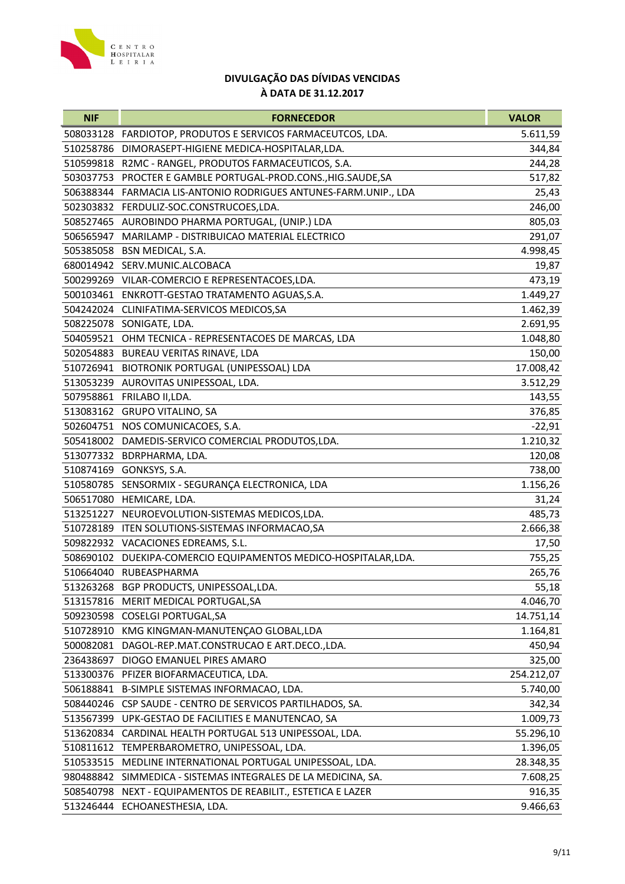

| 508033128 FARDIOTOP, PRODUTOS E SERVICOS FARMACEUTCOS, LDA.<br>5.611,59<br>DIMORASEPT-HIGIENE MEDICA-HOSPITALAR, LDA.<br>510258786<br>344,84<br>510599818<br>R2MC - RANGEL, PRODUTOS FARMACEUTICOS, S.A.<br>244,28<br>503037753 PROCTER E GAMBLE PORTUGAL-PROD.CONS., HIG.SAUDE, SA<br>517,82<br>506388344 FARMACIA LIS-ANTONIO RODRIGUES ANTUNES-FARM.UNIP., LDA<br>25,43<br>502303832 FERDULIZ-SOC.CONSTRUCOES,LDA.<br>246,00<br>508527465 AUROBINDO PHARMA PORTUGAL, (UNIP.) LDA<br>805,03<br>MARILAMP - DISTRIBUICAO MATERIAL ELECTRICO<br>506565947<br>291,07<br>505385058 BSN MEDICAL, S.A.<br>4.998,45<br>680014942 SERV.MUNIC.ALCOBACA<br>19,87<br>473,19<br>500299269 VILAR-COMERCIO E REPRESENTACOES, LDA.<br>500103461 ENKROTT-GESTAO TRATAMENTO AGUAS, S.A.<br>1.449,27<br>504242024 CLINIFATIMA-SERVICOS MEDICOS, SA<br>1.462,39<br>508225078 SONIGATE, LDA.<br>2.691,95<br>504059521 OHM TECNICA - REPRESENTACOES DE MARCAS, LDA<br>1.048,80<br>502054883 BUREAU VERITAS RINAVE, LDA<br>150,00<br>510726941 BIOTRONIK PORTUGAL (UNIPESSOAL) LDA<br>17.008,42<br>513053239 AUROVITAS UNIPESSOAL, LDA.<br>3.512,29<br>507958861 FRILABO II, LDA.<br>143,55<br>513083162 GRUPO VITALINO, SA<br>376,85<br>502604751 NOS COMUNICACOES, S.A.<br>$-22,91$<br>505418002 DAMEDIS-SERVICO COMERCIAL PRODUTOS, LDA.<br>1.210,32<br>513077332 BDRPHARMA, LDA.<br>120,08<br>510874169 GONKSYS, S.A.<br>738,00<br>510580785 SENSORMIX - SEGURANÇA ELECTRONICA, LDA<br>1.156,26<br>506517080 HEMICARE, LDA.<br>31,24<br>513251227<br>NEUROEVOLUTION-SISTEMAS MEDICOS, LDA.<br>485,73<br>ITEN SOLUTIONS-SISTEMAS INFORMACAO, SA<br>510728189<br>2.666,38<br>509822932 VACACIONES EDREAMS, S.L.<br>17,50<br>508690102 DUEKIPA-COMERCIO EQUIPAMENTOS MEDICO-HOSPITALAR,LDA.<br>755,25<br>265,76<br>510664040 RUBEASPHARMA<br>513263268<br>BGP PRODUCTS, UNIPESSOAL, LDA.<br>55,18<br>4.046,70<br>513157816<br>MERIT MEDICAL PORTUGAL, SA<br>509230598 COSELGI PORTUGAL, SA<br>14.751,14<br>510728910 KMG KINGMAN-MANUTENÇAO GLOBAL,LDA<br>1.164,81<br>450,94<br>500082081<br>DAGOL-REP.MAT.CONSTRUCAO E ART.DECO.,LDA.<br>236438697<br>DIOGO EMANUEL PIRES AMARO<br>325,00<br>254.212,07<br>513300376 PFIZER BIOFARMACEUTICA, LDA.<br>506188841 B-SIMPLE SISTEMAS INFORMACAO, LDA.<br>5.740,00<br>CSP SAUDE - CENTRO DE SERVICOS PARTILHADOS, SA.<br>508440246<br>342,34<br>513567399<br>UPK-GESTAO DE FACILITIES E MANUTENCAO, SA<br>1.009,73<br>513620834<br>CARDINAL HEALTH PORTUGAL 513 UNIPESSOAL, LDA.<br>55.296,10<br>510811612<br>TEMPERBAROMETRO, UNIPESSOAL, LDA.<br>1.396,05<br>510533515<br>MEDLINE INTERNATIONAL PORTUGAL UNIPESSOAL, LDA.<br>28.348,35<br>980488842 SIMMEDICA - SISTEMAS INTEGRALES DE LA MEDICINA, SA.<br>7.608,25<br>508540798<br>NEXT - EQUIPAMENTOS DE REABILIT., ESTETICA E LAZER<br>916,35<br>9.466,63<br>513246444 ECHOANESTHESIA, LDA. | <b>NIF</b> | <b>FORNECEDOR</b> | <b>VALOR</b> |
|--------------------------------------------------------------------------------------------------------------------------------------------------------------------------------------------------------------------------------------------------------------------------------------------------------------------------------------------------------------------------------------------------------------------------------------------------------------------------------------------------------------------------------------------------------------------------------------------------------------------------------------------------------------------------------------------------------------------------------------------------------------------------------------------------------------------------------------------------------------------------------------------------------------------------------------------------------------------------------------------------------------------------------------------------------------------------------------------------------------------------------------------------------------------------------------------------------------------------------------------------------------------------------------------------------------------------------------------------------------------------------------------------------------------------------------------------------------------------------------------------------------------------------------------------------------------------------------------------------------------------------------------------------------------------------------------------------------------------------------------------------------------------------------------------------------------------------------------------------------------------------------------------------------------------------------------------------------------------------------------------------------------------------------------------------------------------------------------------------------------------------------------------------------------------------------------------------------------------------------------------------------------------------------------------------------------------------------------------------------------------------------------------------------------------------------------------------------------------------------------------------------------------------------------------------------------------------------------------------------------------------------------------------------------------------------------------------------------------------------------------------------------------------------------------------------------------------------------------------------------------|------------|-------------------|--------------|
|                                                                                                                                                                                                                                                                                                                                                                                                                                                                                                                                                                                                                                                                                                                                                                                                                                                                                                                                                                                                                                                                                                                                                                                                                                                                                                                                                                                                                                                                                                                                                                                                                                                                                                                                                                                                                                                                                                                                                                                                                                                                                                                                                                                                                                                                                                                                                                                                                                                                                                                                                                                                                                                                                                                                                                                                                                                                          |            |                   |              |
|                                                                                                                                                                                                                                                                                                                                                                                                                                                                                                                                                                                                                                                                                                                                                                                                                                                                                                                                                                                                                                                                                                                                                                                                                                                                                                                                                                                                                                                                                                                                                                                                                                                                                                                                                                                                                                                                                                                                                                                                                                                                                                                                                                                                                                                                                                                                                                                                                                                                                                                                                                                                                                                                                                                                                                                                                                                                          |            |                   |              |
|                                                                                                                                                                                                                                                                                                                                                                                                                                                                                                                                                                                                                                                                                                                                                                                                                                                                                                                                                                                                                                                                                                                                                                                                                                                                                                                                                                                                                                                                                                                                                                                                                                                                                                                                                                                                                                                                                                                                                                                                                                                                                                                                                                                                                                                                                                                                                                                                                                                                                                                                                                                                                                                                                                                                                                                                                                                                          |            |                   |              |
|                                                                                                                                                                                                                                                                                                                                                                                                                                                                                                                                                                                                                                                                                                                                                                                                                                                                                                                                                                                                                                                                                                                                                                                                                                                                                                                                                                                                                                                                                                                                                                                                                                                                                                                                                                                                                                                                                                                                                                                                                                                                                                                                                                                                                                                                                                                                                                                                                                                                                                                                                                                                                                                                                                                                                                                                                                                                          |            |                   |              |
|                                                                                                                                                                                                                                                                                                                                                                                                                                                                                                                                                                                                                                                                                                                                                                                                                                                                                                                                                                                                                                                                                                                                                                                                                                                                                                                                                                                                                                                                                                                                                                                                                                                                                                                                                                                                                                                                                                                                                                                                                                                                                                                                                                                                                                                                                                                                                                                                                                                                                                                                                                                                                                                                                                                                                                                                                                                                          |            |                   |              |
|                                                                                                                                                                                                                                                                                                                                                                                                                                                                                                                                                                                                                                                                                                                                                                                                                                                                                                                                                                                                                                                                                                                                                                                                                                                                                                                                                                                                                                                                                                                                                                                                                                                                                                                                                                                                                                                                                                                                                                                                                                                                                                                                                                                                                                                                                                                                                                                                                                                                                                                                                                                                                                                                                                                                                                                                                                                                          |            |                   |              |
|                                                                                                                                                                                                                                                                                                                                                                                                                                                                                                                                                                                                                                                                                                                                                                                                                                                                                                                                                                                                                                                                                                                                                                                                                                                                                                                                                                                                                                                                                                                                                                                                                                                                                                                                                                                                                                                                                                                                                                                                                                                                                                                                                                                                                                                                                                                                                                                                                                                                                                                                                                                                                                                                                                                                                                                                                                                                          |            |                   |              |
|                                                                                                                                                                                                                                                                                                                                                                                                                                                                                                                                                                                                                                                                                                                                                                                                                                                                                                                                                                                                                                                                                                                                                                                                                                                                                                                                                                                                                                                                                                                                                                                                                                                                                                                                                                                                                                                                                                                                                                                                                                                                                                                                                                                                                                                                                                                                                                                                                                                                                                                                                                                                                                                                                                                                                                                                                                                                          |            |                   |              |
|                                                                                                                                                                                                                                                                                                                                                                                                                                                                                                                                                                                                                                                                                                                                                                                                                                                                                                                                                                                                                                                                                                                                                                                                                                                                                                                                                                                                                                                                                                                                                                                                                                                                                                                                                                                                                                                                                                                                                                                                                                                                                                                                                                                                                                                                                                                                                                                                                                                                                                                                                                                                                                                                                                                                                                                                                                                                          |            |                   |              |
|                                                                                                                                                                                                                                                                                                                                                                                                                                                                                                                                                                                                                                                                                                                                                                                                                                                                                                                                                                                                                                                                                                                                                                                                                                                                                                                                                                                                                                                                                                                                                                                                                                                                                                                                                                                                                                                                                                                                                                                                                                                                                                                                                                                                                                                                                                                                                                                                                                                                                                                                                                                                                                                                                                                                                                                                                                                                          |            |                   |              |
|                                                                                                                                                                                                                                                                                                                                                                                                                                                                                                                                                                                                                                                                                                                                                                                                                                                                                                                                                                                                                                                                                                                                                                                                                                                                                                                                                                                                                                                                                                                                                                                                                                                                                                                                                                                                                                                                                                                                                                                                                                                                                                                                                                                                                                                                                                                                                                                                                                                                                                                                                                                                                                                                                                                                                                                                                                                                          |            |                   |              |
|                                                                                                                                                                                                                                                                                                                                                                                                                                                                                                                                                                                                                                                                                                                                                                                                                                                                                                                                                                                                                                                                                                                                                                                                                                                                                                                                                                                                                                                                                                                                                                                                                                                                                                                                                                                                                                                                                                                                                                                                                                                                                                                                                                                                                                                                                                                                                                                                                                                                                                                                                                                                                                                                                                                                                                                                                                                                          |            |                   |              |
|                                                                                                                                                                                                                                                                                                                                                                                                                                                                                                                                                                                                                                                                                                                                                                                                                                                                                                                                                                                                                                                                                                                                                                                                                                                                                                                                                                                                                                                                                                                                                                                                                                                                                                                                                                                                                                                                                                                                                                                                                                                                                                                                                                                                                                                                                                                                                                                                                                                                                                                                                                                                                                                                                                                                                                                                                                                                          |            |                   |              |
|                                                                                                                                                                                                                                                                                                                                                                                                                                                                                                                                                                                                                                                                                                                                                                                                                                                                                                                                                                                                                                                                                                                                                                                                                                                                                                                                                                                                                                                                                                                                                                                                                                                                                                                                                                                                                                                                                                                                                                                                                                                                                                                                                                                                                                                                                                                                                                                                                                                                                                                                                                                                                                                                                                                                                                                                                                                                          |            |                   |              |
|                                                                                                                                                                                                                                                                                                                                                                                                                                                                                                                                                                                                                                                                                                                                                                                                                                                                                                                                                                                                                                                                                                                                                                                                                                                                                                                                                                                                                                                                                                                                                                                                                                                                                                                                                                                                                                                                                                                                                                                                                                                                                                                                                                                                                                                                                                                                                                                                                                                                                                                                                                                                                                                                                                                                                                                                                                                                          |            |                   |              |
|                                                                                                                                                                                                                                                                                                                                                                                                                                                                                                                                                                                                                                                                                                                                                                                                                                                                                                                                                                                                                                                                                                                                                                                                                                                                                                                                                                                                                                                                                                                                                                                                                                                                                                                                                                                                                                                                                                                                                                                                                                                                                                                                                                                                                                                                                                                                                                                                                                                                                                                                                                                                                                                                                                                                                                                                                                                                          |            |                   |              |
|                                                                                                                                                                                                                                                                                                                                                                                                                                                                                                                                                                                                                                                                                                                                                                                                                                                                                                                                                                                                                                                                                                                                                                                                                                                                                                                                                                                                                                                                                                                                                                                                                                                                                                                                                                                                                                                                                                                                                                                                                                                                                                                                                                                                                                                                                                                                                                                                                                                                                                                                                                                                                                                                                                                                                                                                                                                                          |            |                   |              |
|                                                                                                                                                                                                                                                                                                                                                                                                                                                                                                                                                                                                                                                                                                                                                                                                                                                                                                                                                                                                                                                                                                                                                                                                                                                                                                                                                                                                                                                                                                                                                                                                                                                                                                                                                                                                                                                                                                                                                                                                                                                                                                                                                                                                                                                                                                                                                                                                                                                                                                                                                                                                                                                                                                                                                                                                                                                                          |            |                   |              |
|                                                                                                                                                                                                                                                                                                                                                                                                                                                                                                                                                                                                                                                                                                                                                                                                                                                                                                                                                                                                                                                                                                                                                                                                                                                                                                                                                                                                                                                                                                                                                                                                                                                                                                                                                                                                                                                                                                                                                                                                                                                                                                                                                                                                                                                                                                                                                                                                                                                                                                                                                                                                                                                                                                                                                                                                                                                                          |            |                   |              |
|                                                                                                                                                                                                                                                                                                                                                                                                                                                                                                                                                                                                                                                                                                                                                                                                                                                                                                                                                                                                                                                                                                                                                                                                                                                                                                                                                                                                                                                                                                                                                                                                                                                                                                                                                                                                                                                                                                                                                                                                                                                                                                                                                                                                                                                                                                                                                                                                                                                                                                                                                                                                                                                                                                                                                                                                                                                                          |            |                   |              |
|                                                                                                                                                                                                                                                                                                                                                                                                                                                                                                                                                                                                                                                                                                                                                                                                                                                                                                                                                                                                                                                                                                                                                                                                                                                                                                                                                                                                                                                                                                                                                                                                                                                                                                                                                                                                                                                                                                                                                                                                                                                                                                                                                                                                                                                                                                                                                                                                                                                                                                                                                                                                                                                                                                                                                                                                                                                                          |            |                   |              |
|                                                                                                                                                                                                                                                                                                                                                                                                                                                                                                                                                                                                                                                                                                                                                                                                                                                                                                                                                                                                                                                                                                                                                                                                                                                                                                                                                                                                                                                                                                                                                                                                                                                                                                                                                                                                                                                                                                                                                                                                                                                                                                                                                                                                                                                                                                                                                                                                                                                                                                                                                                                                                                                                                                                                                                                                                                                                          |            |                   |              |
|                                                                                                                                                                                                                                                                                                                                                                                                                                                                                                                                                                                                                                                                                                                                                                                                                                                                                                                                                                                                                                                                                                                                                                                                                                                                                                                                                                                                                                                                                                                                                                                                                                                                                                                                                                                                                                                                                                                                                                                                                                                                                                                                                                                                                                                                                                                                                                                                                                                                                                                                                                                                                                                                                                                                                                                                                                                                          |            |                   |              |
|                                                                                                                                                                                                                                                                                                                                                                                                                                                                                                                                                                                                                                                                                                                                                                                                                                                                                                                                                                                                                                                                                                                                                                                                                                                                                                                                                                                                                                                                                                                                                                                                                                                                                                                                                                                                                                                                                                                                                                                                                                                                                                                                                                                                                                                                                                                                                                                                                                                                                                                                                                                                                                                                                                                                                                                                                                                                          |            |                   |              |
|                                                                                                                                                                                                                                                                                                                                                                                                                                                                                                                                                                                                                                                                                                                                                                                                                                                                                                                                                                                                                                                                                                                                                                                                                                                                                                                                                                                                                                                                                                                                                                                                                                                                                                                                                                                                                                                                                                                                                                                                                                                                                                                                                                                                                                                                                                                                                                                                                                                                                                                                                                                                                                                                                                                                                                                                                                                                          |            |                   |              |
|                                                                                                                                                                                                                                                                                                                                                                                                                                                                                                                                                                                                                                                                                                                                                                                                                                                                                                                                                                                                                                                                                                                                                                                                                                                                                                                                                                                                                                                                                                                                                                                                                                                                                                                                                                                                                                                                                                                                                                                                                                                                                                                                                                                                                                                                                                                                                                                                                                                                                                                                                                                                                                                                                                                                                                                                                                                                          |            |                   |              |
|                                                                                                                                                                                                                                                                                                                                                                                                                                                                                                                                                                                                                                                                                                                                                                                                                                                                                                                                                                                                                                                                                                                                                                                                                                                                                                                                                                                                                                                                                                                                                                                                                                                                                                                                                                                                                                                                                                                                                                                                                                                                                                                                                                                                                                                                                                                                                                                                                                                                                                                                                                                                                                                                                                                                                                                                                                                                          |            |                   |              |
|                                                                                                                                                                                                                                                                                                                                                                                                                                                                                                                                                                                                                                                                                                                                                                                                                                                                                                                                                                                                                                                                                                                                                                                                                                                                                                                                                                                                                                                                                                                                                                                                                                                                                                                                                                                                                                                                                                                                                                                                                                                                                                                                                                                                                                                                                                                                                                                                                                                                                                                                                                                                                                                                                                                                                                                                                                                                          |            |                   |              |
|                                                                                                                                                                                                                                                                                                                                                                                                                                                                                                                                                                                                                                                                                                                                                                                                                                                                                                                                                                                                                                                                                                                                                                                                                                                                                                                                                                                                                                                                                                                                                                                                                                                                                                                                                                                                                                                                                                                                                                                                                                                                                                                                                                                                                                                                                                                                                                                                                                                                                                                                                                                                                                                                                                                                                                                                                                                                          |            |                   |              |
|                                                                                                                                                                                                                                                                                                                                                                                                                                                                                                                                                                                                                                                                                                                                                                                                                                                                                                                                                                                                                                                                                                                                                                                                                                                                                                                                                                                                                                                                                                                                                                                                                                                                                                                                                                                                                                                                                                                                                                                                                                                                                                                                                                                                                                                                                                                                                                                                                                                                                                                                                                                                                                                                                                                                                                                                                                                                          |            |                   |              |
|                                                                                                                                                                                                                                                                                                                                                                                                                                                                                                                                                                                                                                                                                                                                                                                                                                                                                                                                                                                                                                                                                                                                                                                                                                                                                                                                                                                                                                                                                                                                                                                                                                                                                                                                                                                                                                                                                                                                                                                                                                                                                                                                                                                                                                                                                                                                                                                                                                                                                                                                                                                                                                                                                                                                                                                                                                                                          |            |                   |              |
|                                                                                                                                                                                                                                                                                                                                                                                                                                                                                                                                                                                                                                                                                                                                                                                                                                                                                                                                                                                                                                                                                                                                                                                                                                                                                                                                                                                                                                                                                                                                                                                                                                                                                                                                                                                                                                                                                                                                                                                                                                                                                                                                                                                                                                                                                                                                                                                                                                                                                                                                                                                                                                                                                                                                                                                                                                                                          |            |                   |              |
|                                                                                                                                                                                                                                                                                                                                                                                                                                                                                                                                                                                                                                                                                                                                                                                                                                                                                                                                                                                                                                                                                                                                                                                                                                                                                                                                                                                                                                                                                                                                                                                                                                                                                                                                                                                                                                                                                                                                                                                                                                                                                                                                                                                                                                                                                                                                                                                                                                                                                                                                                                                                                                                                                                                                                                                                                                                                          |            |                   |              |
|                                                                                                                                                                                                                                                                                                                                                                                                                                                                                                                                                                                                                                                                                                                                                                                                                                                                                                                                                                                                                                                                                                                                                                                                                                                                                                                                                                                                                                                                                                                                                                                                                                                                                                                                                                                                                                                                                                                                                                                                                                                                                                                                                                                                                                                                                                                                                                                                                                                                                                                                                                                                                                                                                                                                                                                                                                                                          |            |                   |              |
|                                                                                                                                                                                                                                                                                                                                                                                                                                                                                                                                                                                                                                                                                                                                                                                                                                                                                                                                                                                                                                                                                                                                                                                                                                                                                                                                                                                                                                                                                                                                                                                                                                                                                                                                                                                                                                                                                                                                                                                                                                                                                                                                                                                                                                                                                                                                                                                                                                                                                                                                                                                                                                                                                                                                                                                                                                                                          |            |                   |              |
|                                                                                                                                                                                                                                                                                                                                                                                                                                                                                                                                                                                                                                                                                                                                                                                                                                                                                                                                                                                                                                                                                                                                                                                                                                                                                                                                                                                                                                                                                                                                                                                                                                                                                                                                                                                                                                                                                                                                                                                                                                                                                                                                                                                                                                                                                                                                                                                                                                                                                                                                                                                                                                                                                                                                                                                                                                                                          |            |                   |              |
|                                                                                                                                                                                                                                                                                                                                                                                                                                                                                                                                                                                                                                                                                                                                                                                                                                                                                                                                                                                                                                                                                                                                                                                                                                                                                                                                                                                                                                                                                                                                                                                                                                                                                                                                                                                                                                                                                                                                                                                                                                                                                                                                                                                                                                                                                                                                                                                                                                                                                                                                                                                                                                                                                                                                                                                                                                                                          |            |                   |              |
|                                                                                                                                                                                                                                                                                                                                                                                                                                                                                                                                                                                                                                                                                                                                                                                                                                                                                                                                                                                                                                                                                                                                                                                                                                                                                                                                                                                                                                                                                                                                                                                                                                                                                                                                                                                                                                                                                                                                                                                                                                                                                                                                                                                                                                                                                                                                                                                                                                                                                                                                                                                                                                                                                                                                                                                                                                                                          |            |                   |              |
|                                                                                                                                                                                                                                                                                                                                                                                                                                                                                                                                                                                                                                                                                                                                                                                                                                                                                                                                                                                                                                                                                                                                                                                                                                                                                                                                                                                                                                                                                                                                                                                                                                                                                                                                                                                                                                                                                                                                                                                                                                                                                                                                                                                                                                                                                                                                                                                                                                                                                                                                                                                                                                                                                                                                                                                                                                                                          |            |                   |              |
|                                                                                                                                                                                                                                                                                                                                                                                                                                                                                                                                                                                                                                                                                                                                                                                                                                                                                                                                                                                                                                                                                                                                                                                                                                                                                                                                                                                                                                                                                                                                                                                                                                                                                                                                                                                                                                                                                                                                                                                                                                                                                                                                                                                                                                                                                                                                                                                                                                                                                                                                                                                                                                                                                                                                                                                                                                                                          |            |                   |              |
|                                                                                                                                                                                                                                                                                                                                                                                                                                                                                                                                                                                                                                                                                                                                                                                                                                                                                                                                                                                                                                                                                                                                                                                                                                                                                                                                                                                                                                                                                                                                                                                                                                                                                                                                                                                                                                                                                                                                                                                                                                                                                                                                                                                                                                                                                                                                                                                                                                                                                                                                                                                                                                                                                                                                                                                                                                                                          |            |                   |              |
|                                                                                                                                                                                                                                                                                                                                                                                                                                                                                                                                                                                                                                                                                                                                                                                                                                                                                                                                                                                                                                                                                                                                                                                                                                                                                                                                                                                                                                                                                                                                                                                                                                                                                                                                                                                                                                                                                                                                                                                                                                                                                                                                                                                                                                                                                                                                                                                                                                                                                                                                                                                                                                                                                                                                                                                                                                                                          |            |                   |              |
|                                                                                                                                                                                                                                                                                                                                                                                                                                                                                                                                                                                                                                                                                                                                                                                                                                                                                                                                                                                                                                                                                                                                                                                                                                                                                                                                                                                                                                                                                                                                                                                                                                                                                                                                                                                                                                                                                                                                                                                                                                                                                                                                                                                                                                                                                                                                                                                                                                                                                                                                                                                                                                                                                                                                                                                                                                                                          |            |                   |              |
|                                                                                                                                                                                                                                                                                                                                                                                                                                                                                                                                                                                                                                                                                                                                                                                                                                                                                                                                                                                                                                                                                                                                                                                                                                                                                                                                                                                                                                                                                                                                                                                                                                                                                                                                                                                                                                                                                                                                                                                                                                                                                                                                                                                                                                                                                                                                                                                                                                                                                                                                                                                                                                                                                                                                                                                                                                                                          |            |                   |              |
|                                                                                                                                                                                                                                                                                                                                                                                                                                                                                                                                                                                                                                                                                                                                                                                                                                                                                                                                                                                                                                                                                                                                                                                                                                                                                                                                                                                                                                                                                                                                                                                                                                                                                                                                                                                                                                                                                                                                                                                                                                                                                                                                                                                                                                                                                                                                                                                                                                                                                                                                                                                                                                                                                                                                                                                                                                                                          |            |                   |              |
|                                                                                                                                                                                                                                                                                                                                                                                                                                                                                                                                                                                                                                                                                                                                                                                                                                                                                                                                                                                                                                                                                                                                                                                                                                                                                                                                                                                                                                                                                                                                                                                                                                                                                                                                                                                                                                                                                                                                                                                                                                                                                                                                                                                                                                                                                                                                                                                                                                                                                                                                                                                                                                                                                                                                                                                                                                                                          |            |                   |              |
|                                                                                                                                                                                                                                                                                                                                                                                                                                                                                                                                                                                                                                                                                                                                                                                                                                                                                                                                                                                                                                                                                                                                                                                                                                                                                                                                                                                                                                                                                                                                                                                                                                                                                                                                                                                                                                                                                                                                                                                                                                                                                                                                                                                                                                                                                                                                                                                                                                                                                                                                                                                                                                                                                                                                                                                                                                                                          |            |                   |              |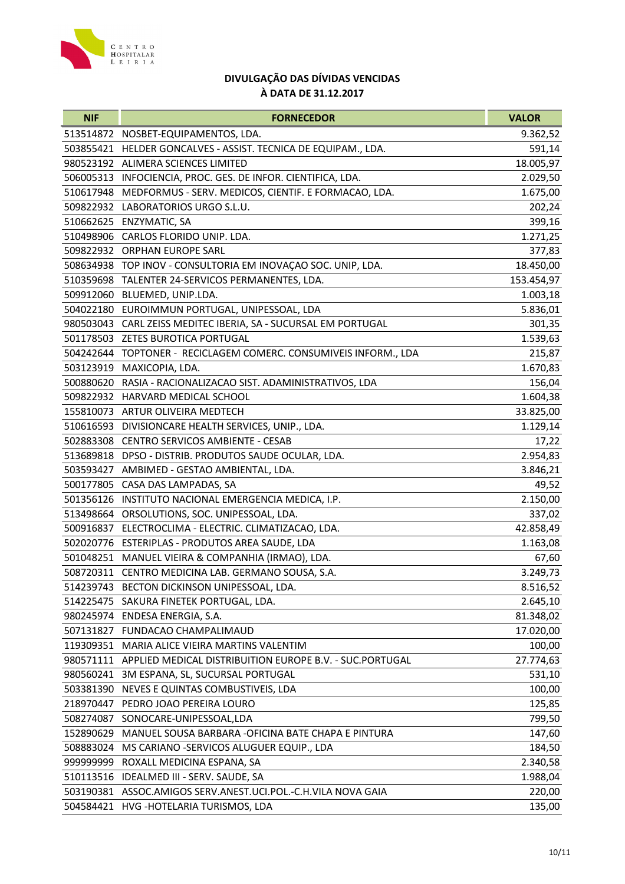

| <b>NIF</b> | <b>FORNECEDOR</b>                                                  | <b>VALOR</b> |
|------------|--------------------------------------------------------------------|--------------|
|            | 513514872 NOSBET-EQUIPAMENTOS, LDA.                                | 9.362,52     |
| 503855421  | HELDER GONCALVES - ASSIST. TECNICA DE EQUIPAM., LDA.               | 591,14       |
|            | 980523192 ALIMERA SCIENCES LIMITED                                 | 18.005,97    |
|            | 506005313 INFOCIENCIA, PROC. GES. DE INFOR. CIENTIFICA, LDA.       | 2.029,50     |
| 510617948  | MEDFORMUS - SERV. MEDICOS, CIENTIF. E FORMACAO, LDA.               | 1.675,00     |
|            | 509822932 LABORATORIOS URGO S.L.U.                                 | 202,24       |
|            | 510662625 ENZYMATIC, SA                                            | 399,16       |
|            | 510498906 CARLOS FLORIDO UNIP. LDA.                                | 1.271,25     |
|            | 509822932 ORPHAN EUROPE SARL                                       | 377,83       |
|            | 508634938 TOP INOV - CONSULTORIA EM INOVAÇÃO SOC. UNIP, LDA.       | 18.450,00    |
|            | 510359698 TALENTER 24-SERVICOS PERMANENTES, LDA.                   | 153.454,97   |
|            | 509912060 BLUEMED, UNIP.LDA.                                       | 1.003,18     |
|            | 504022180 EUROIMMUN PORTUGAL, UNIPESSOAL, LDA                      | 5.836,01     |
|            | 980503043 CARL ZEISS MEDITEC IBERIA, SA - SUCURSAL EM PORTUGAL     | 301,35       |
|            | 501178503 ZETES BUROTICA PORTUGAL                                  | 1.539,63     |
|            | 504242644 TOPTONER - RECICLAGEM COMERC. CONSUMIVEIS INFORM., LDA   | 215,87       |
|            | 503123919 MAXICOPIA, LDA.                                          | 1.670,83     |
|            | 500880620 RASIA - RACIONALIZACAO SIST. ADAMINISTRATIVOS, LDA       | 156,04       |
|            | 509822932 HARVARD MEDICAL SCHOOL                                   | 1.604,38     |
|            | 155810073 ARTUR OLIVEIRA MEDTECH                                   | 33.825,00    |
|            | 510616593 DIVISIONCARE HEALTH SERVICES, UNIP., LDA.                | 1.129,14     |
|            | 502883308 CENTRO SERVICOS AMBIENTE - CESAB                         | 17,22        |
|            | 513689818 DPSO - DISTRIB. PRODUTOS SAUDE OCULAR, LDA.              | 2.954,83     |
|            | 503593427 AMBIMED - GESTAO AMBIENTAL, LDA.                         | 3.846,21     |
|            | 500177805 CASA DAS LAMPADAS, SA                                    | 49,52        |
|            | 501356126 INSTITUTO NACIONAL EMERGENCIA MEDICA, I.P.               | 2.150,00     |
| 513498664  | ORSOLUTIONS, SOC. UNIPESSOAL, LDA.                                 | 337,02       |
|            | 500916837 ELECTROCLIMA - ELECTRIC. CLIMATIZACAO, LDA.              | 42.858,49    |
|            | 502020776 ESTERIPLAS - PRODUTOS AREA SAUDE, LDA                    | 1.163,08     |
|            | 501048251 MANUEL VIEIRA & COMPANHIA (IRMAO), LDA.                  | 67,60        |
|            | 508720311 CENTRO MEDICINA LAB. GERMANO SOUSA, S.A.                 | 3.249,73     |
|            | 514239743 BECTON DICKINSON UNIPESSOAL, LDA.                        | 8.516,52     |
|            | 514225475 SAKURA FINETEK PORTUGAL, LDA.                            | 2.645,10     |
|            | 980245974 ENDESA ENERGIA, S.A.                                     | 81.348,02    |
|            | 507131827 FUNDACAO CHAMPALIMAUD                                    | 17.020,00    |
|            | 119309351 MARIA ALICE VIEIRA MARTINS VALENTIM                      | 100,00       |
|            | 980571111 APPLIED MEDICAL DISTRIBUITION EUROPE B.V. - SUC.PORTUGAL | 27.774,63    |
|            | 980560241 3M ESPANA, SL, SUCURSAL PORTUGAL                         | 531,10       |
| 503381390  | NEVES E QUINTAS COMBUSTIVEIS, LDA                                  | 100,00       |
|            | 218970447 PEDRO JOAO PEREIRA LOURO                                 | 125,85       |
|            | 508274087 SONOCARE-UNIPESSOAL,LDA                                  | 799,50       |
| 152890629  | MANUEL SOUSA BARBARA - OFICINA BATE CHAPA E PINTURA                | 147,60       |
| 508883024  | MS CARIANO -SERVICOS ALUGUER EQUIP., LDA                           | 184,50       |
| 99999999   | ROXALL MEDICINA ESPANA, SA                                         | 2.340,58     |
|            | 510113516 IDEALMED III - SERV. SAUDE, SA                           | 1.988,04     |
|            | 503190381 ASSOC.AMIGOS SERV.ANEST.UCI.POL.-C.H.VILA NOVA GAIA      | 220,00       |
|            | 504584421 HVG - HOTELARIA TURISMOS, LDA                            | 135,00       |
|            |                                                                    |              |